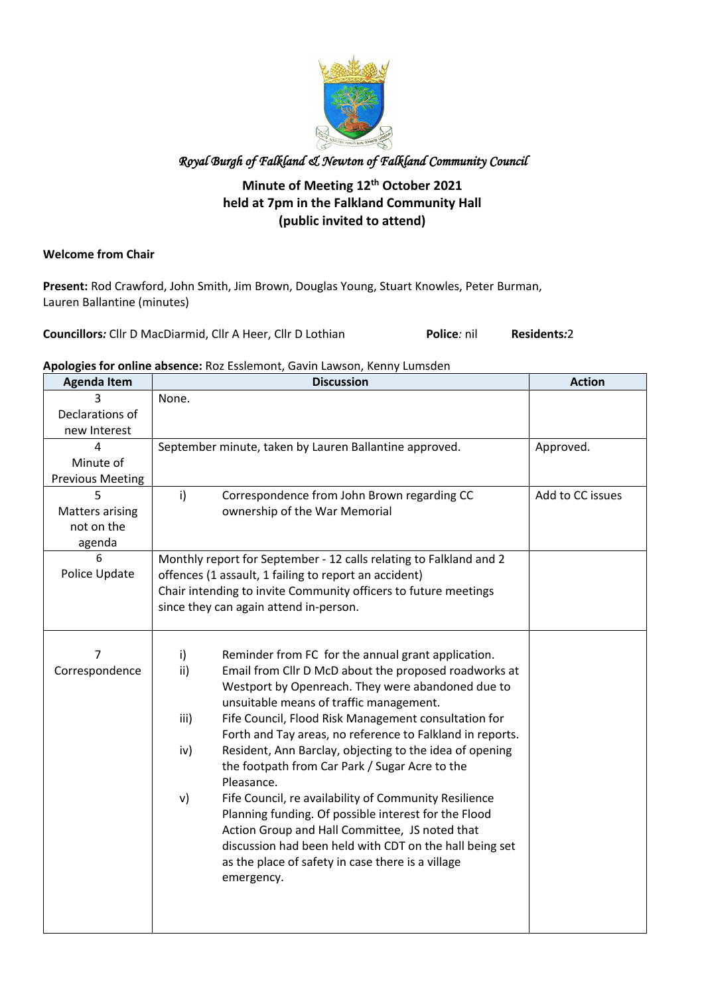

#### **Minute of Meeting 12th October 2021 held at 7pm in the Falkland Community Hall (public invited to attend)**

#### **Welcome from Chair**

**Present:** Rod Crawford, John Smith, Jim Brown, Douglas Young, Stuart Knowles, Peter Burman, Lauren Ballantine (minutes)

**Councillors***:* Cllr D MacDiarmid, Cllr A Heer, Cllr D Lothian **Police***:* nil **Residents***:*2

#### **Apologies for online absence:** Roz Esslemont, Gavin Lawson, Kenny Lumsden

| <b>Agenda Item</b>                   | <b>Discussion</b>                                                            | <b>Action</b>    |
|--------------------------------------|------------------------------------------------------------------------------|------------------|
|                                      | None.                                                                        |                  |
| Declarations of                      |                                                                              |                  |
| new Interest                         |                                                                              |                  |
| 4<br>Minute of                       | September minute, taken by Lauren Ballantine approved.                       | Approved.        |
|                                      |                                                                              |                  |
| <b>Previous Meeting</b>              | i)                                                                           | Add to CC issues |
| 5                                    | Correspondence from John Brown regarding CC<br>ownership of the War Memorial |                  |
| <b>Matters arising</b><br>not on the |                                                                              |                  |
| agenda                               |                                                                              |                  |
| 6                                    | Monthly report for September - 12 calls relating to Falkland and 2           |                  |
| Police Update                        | offences (1 assault, 1 failing to report an accident)                        |                  |
|                                      | Chair intending to invite Community officers to future meetings              |                  |
|                                      | since they can again attend in-person.                                       |                  |
|                                      |                                                                              |                  |
|                                      |                                                                              |                  |
| 7                                    | i)<br>Reminder from FC for the annual grant application.                     |                  |
| Correspondence                       | ii)<br>Email from Cllr D McD about the proposed roadworks at                 |                  |
|                                      | Westport by Openreach. They were abandoned due to                            |                  |
|                                      | unsuitable means of traffic management.                                      |                  |
|                                      | iii)<br>Fife Council, Flood Risk Management consultation for                 |                  |
|                                      | Forth and Tay areas, no reference to Falkland in reports.                    |                  |
|                                      | iv)<br>Resident, Ann Barclay, objecting to the idea of opening               |                  |
|                                      | the footpath from Car Park / Sugar Acre to the                               |                  |
|                                      | Pleasance.                                                                   |                  |
|                                      | Fife Council, re availability of Community Resilience<br>v)                  |                  |
|                                      | Planning funding. Of possible interest for the Flood                         |                  |
|                                      | Action Group and Hall Committee, JS noted that                               |                  |
|                                      | discussion had been held with CDT on the hall being set                      |                  |
|                                      | as the place of safety in case there is a village                            |                  |
|                                      | emergency.                                                                   |                  |
|                                      |                                                                              |                  |
|                                      |                                                                              |                  |
|                                      |                                                                              |                  |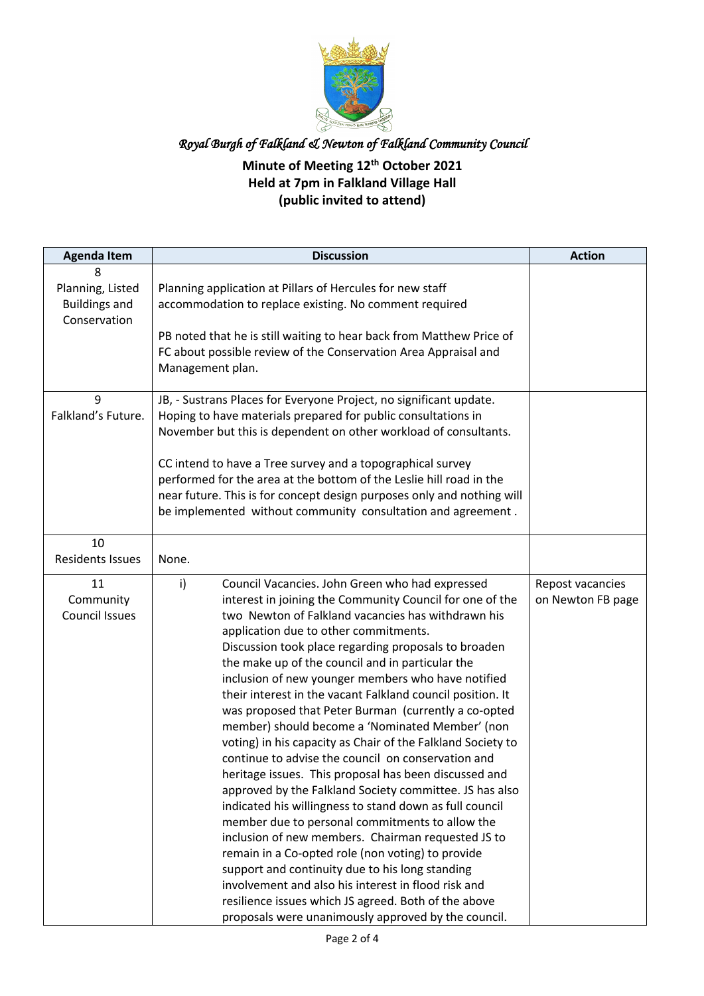

## **Minute of Meeting 12th October 2021 Held at 7pm in Falkland Village Hall (public invited to attend)**

| <b>Agenda Item</b>                                            | <b>Discussion</b>                                                                                                                                                                                                                                                                                                                                                                                                                                                                                                                                                                                                                                                                                                                                                                                                                                                                                                                                                                                                                                                                                                                                                                                                                                      | <b>Action</b>                         |
|---------------------------------------------------------------|--------------------------------------------------------------------------------------------------------------------------------------------------------------------------------------------------------------------------------------------------------------------------------------------------------------------------------------------------------------------------------------------------------------------------------------------------------------------------------------------------------------------------------------------------------------------------------------------------------------------------------------------------------------------------------------------------------------------------------------------------------------------------------------------------------------------------------------------------------------------------------------------------------------------------------------------------------------------------------------------------------------------------------------------------------------------------------------------------------------------------------------------------------------------------------------------------------------------------------------------------------|---------------------------------------|
| 8<br>Planning, Listed<br><b>Buildings and</b><br>Conservation | Planning application at Pillars of Hercules for new staff<br>accommodation to replace existing. No comment required<br>PB noted that he is still waiting to hear back from Matthew Price of<br>FC about possible review of the Conservation Area Appraisal and<br>Management plan.                                                                                                                                                                                                                                                                                                                                                                                                                                                                                                                                                                                                                                                                                                                                                                                                                                                                                                                                                                     |                                       |
| 9<br>Falkland's Future.                                       | JB, - Sustrans Places for Everyone Project, no significant update.<br>Hoping to have materials prepared for public consultations in<br>November but this is dependent on other workload of consultants.<br>CC intend to have a Tree survey and a topographical survey<br>performed for the area at the bottom of the Leslie hill road in the<br>near future. This is for concept design purposes only and nothing will<br>be implemented without community consultation and agreement.                                                                                                                                                                                                                                                                                                                                                                                                                                                                                                                                                                                                                                                                                                                                                                 |                                       |
| 10<br><b>Residents Issues</b>                                 | None.                                                                                                                                                                                                                                                                                                                                                                                                                                                                                                                                                                                                                                                                                                                                                                                                                                                                                                                                                                                                                                                                                                                                                                                                                                                  |                                       |
| 11<br>Community<br><b>Council Issues</b>                      | i)<br>Council Vacancies. John Green who had expressed<br>interest in joining the Community Council for one of the<br>two Newton of Falkland vacancies has withdrawn his<br>application due to other commitments.<br>Discussion took place regarding proposals to broaden<br>the make up of the council and in particular the<br>inclusion of new younger members who have notified<br>their interest in the vacant Falkland council position. It<br>was proposed that Peter Burman (currently a co-opted<br>member) should become a 'Nominated Member' (non<br>voting) in his capacity as Chair of the Falkland Society to<br>continue to advise the council on conservation and<br>heritage issues. This proposal has been discussed and<br>approved by the Falkland Society committee. JS has also<br>indicated his willingness to stand down as full council<br>member due to personal commitments to allow the<br>inclusion of new members. Chairman requested JS to<br>remain in a Co-opted role (non voting) to provide<br>support and continuity due to his long standing<br>involvement and also his interest in flood risk and<br>resilience issues which JS agreed. Both of the above<br>proposals were unanimously approved by the council. | Repost vacancies<br>on Newton FB page |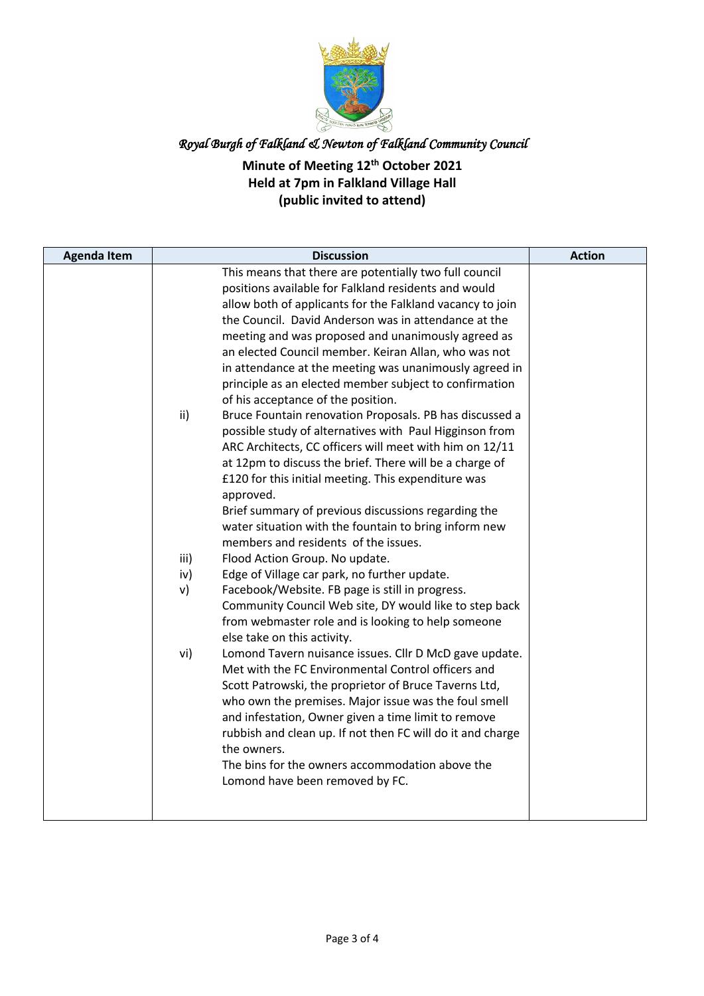

## **Minute of Meeting 12th October 2021 Held at 7pm in Falkland Village Hall (public invited to attend)**

| This means that there are potentially two full council<br>positions available for Falkland residents and would<br>allow both of applicants for the Falkland vacancy to join<br>the Council. David Anderson was in attendance at the<br>meeting and was proposed and unanimously agreed as<br>an elected Council member. Keiran Allan, who was not<br>in attendance at the meeting was unanimously agreed in<br>principle as an elected member subject to confirmation<br>of his acceptance of the position.<br>ii)<br>Bruce Fountain renovation Proposals. PB has discussed a<br>possible study of alternatives with Paul Higginson from<br>ARC Architects, CC officers will meet with him on 12/11<br>at 12pm to discuss the brief. There will be a charge of<br>£120 for this initial meeting. This expenditure was<br>approved.<br>Brief summary of previous discussions regarding the<br>water situation with the fountain to bring inform new<br>members and residents of the issues.<br>iii)<br>Flood Action Group. No update.<br>Edge of Village car park, no further update.<br>iv)<br>Facebook/Website. FB page is still in progress.<br>v)<br>Community Council Web site, DY would like to step back<br>from webmaster role and is looking to help someone<br>else take on this activity.<br>vi)<br>Lomond Tavern nuisance issues. Cllr D McD gave update.<br>Met with the FC Environmental Control officers and<br>Scott Patrowski, the proprietor of Bruce Taverns Ltd,<br>who own the premises. Major issue was the foul smell<br>and infestation, Owner given a time limit to remove |
|----------------------------------------------------------------------------------------------------------------------------------------------------------------------------------------------------------------------------------------------------------------------------------------------------------------------------------------------------------------------------------------------------------------------------------------------------------------------------------------------------------------------------------------------------------------------------------------------------------------------------------------------------------------------------------------------------------------------------------------------------------------------------------------------------------------------------------------------------------------------------------------------------------------------------------------------------------------------------------------------------------------------------------------------------------------------------------------------------------------------------------------------------------------------------------------------------------------------------------------------------------------------------------------------------------------------------------------------------------------------------------------------------------------------------------------------------------------------------------------------------------------------------------------------------------------------------------------------------|
| rubbish and clean up. If not then FC will do it and charge<br>the owners.<br>The bins for the owners accommodation above the<br>Lomond have been removed by FC.                                                                                                                                                                                                                                                                                                                                                                                                                                                                                                                                                                                                                                                                                                                                                                                                                                                                                                                                                                                                                                                                                                                                                                                                                                                                                                                                                                                                                                    |